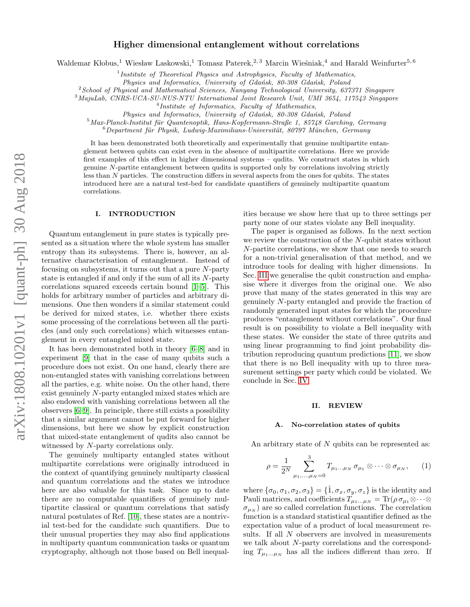# Higher dimensional entanglement without correlations

Waldemar Kłobus,<sup>1</sup> Wiesław Laskowski,<sup>1</sup> Tomasz Paterek,<sup>2, 3</sup> Marcin Wieśniak,<sup>4</sup> and Harald Weinfurter<sup>5, 6</sup>

<sup>1</sup>Institute of Theoretical Physics and Astrophysics, Faculty of Mathematics,

Physics and Informatics, University of Gdańsk, 80-308 Gdańsk, Poland

 $2$ School of Physical and Mathematical Sciences, Nanyang Technological University, 637371 Singapore

<sup>3</sup>MajuLab, CNRS-UCA-SU-NUS-NTU International Joint Research Unit, UMI 3654, 117543 Singapore

4 Institute of Informatics, Faculty of Mathematics,

Physics and Informatics, University of Gdańsk, 80-308 Gdańsk, Poland

 $5$ Max-Planck-Institut für Quantenoptik, Hans-Kopfermann-Straße 1, 85748 Garching, Germany

 $6$ Department für Physik, Ludwig-Maximilians-Universität, 80797 München, Germany

It has been demonstrated both theoretically and experimentally that genuine multipartite entanglement between qubits can exist even in the absence of multipartite correlations. Here we provide first examples of this effect in higher dimensional systems – qudits. We construct states in which genuine N-partite entanglement between qudits is supported only by correlations involving strictly less than N particles. The construction differs in several aspects from the ones for qubits. The states introduced here are a natural test-bed for candidate quantifiers of genuinely multipartite quantum correlations.

## I. INTRODUCTION

Quantum entanglement in pure states is typically presented as a situation where the whole system has smaller entropy than its subsystems. There is, however, an alternative characterisation of entanglement. Instead of focusing on subsystems, it turns out that a pure N-party state is entangled if and only if the sum of all its N-party correlations squared exceeds certain bound [\[1–](#page-5-0)[5\]](#page-5-1). This holds for arbitrary number of particles and arbitrary dimensions. One then wonders if a similar statement could be derived for mixed states, i.e. whether there exists some processing of the correlations between all the particles (and only such correlations) which witnesses entanglement in every entangled mixed state.

It has been demonstrated both in theory [\[6–](#page-5-2)[8\]](#page-5-3) and in experiment [\[9\]](#page-5-4) that in the case of many qubits such a procedure does not exist. On one hand, clearly there are non-entangled states with vanishing correlations between all the parties, e.g. white noise. On the other hand, there exist genuinely N-party entangled mixed states which are also endowed with vanishing correlations between all the observers [\[6](#page-5-2)[–9\]](#page-5-4). In principle, there still exists a possibility that a similar argument cannot be put forward for higher dimensions, but here we show by explicit construction that mixed-state entanglement of qudits also cannot be witnessed by N-party correlations only.

The genuinely multiparty entangled states without multipartite correlations were originally introduced in the context of quantifying genuinely multiparty classical and quantum correlations and the states we introduce here are also valuable for this task. Since up to date there are no computable quantifiers of genuinely multipartite classical or quantum correlations that satisfy natural postulates of Ref. [\[10\]](#page-5-5), these states are a nontrivial test-bed for the candidate such quantifiers. Due to their unusual properties they may also find applications in multiparty quantum communication tasks or quantum cryptography, although not those based on Bell inequalities because we show here that up to three settings per party none of our states violate any Bell inequality.

The paper is organised as follows. In the next section we review the construction of the N-qubit states without N-partite correlations, we show that one needs to search for a non-trivial generalisation of that method, and we introduce tools for dealing with higher dimensions. In Sec. [III](#page-2-0) we generalise the qubit construction and emphasise where it diverges from the original one. We also prove that many of the states generated in this way are genuinely N-party entangled and provide the fraction of randomly generated input states for which the procedure produces "entanglement without correlations". Our final result is on possibility to violate a Bell inequality with these states. We consider the state of three qutrits and using linear programming to find joint probability distribution reproducing quantum predictions [\[11\]](#page-5-6), we show that there is no Bell inequality with up to three measurement settings per party which could be violated. We conclude in Sec. [IV.](#page-4-0)

#### II. REVIEW

### A. No-correlation states of qubits

An arbitrary state of N qubits can be represented as:

<span id="page-0-0"></span>
$$
\rho = \frac{1}{2^N} \sum_{\mu_1, ..., \mu_N = 0}^{3} T_{\mu_1 ... \mu_N} \sigma_{\mu_1} \otimes \cdots \otimes \sigma_{\mu_N}, \qquad (1)
$$

where  $\{\sigma_0, \sigma_1, \sigma_2, \sigma_3\} = \{\hat{1}, \sigma_x, \sigma_y, \sigma_z\}$  is the identity and Pauli matrices, and coefficients  $T^{\nu}_{\mu_1...\mu_N} = \text{Tr}(\rho \sigma_{\mu_1} \otimes \cdots \otimes$  $\sigma_{\mu_N}$ ) are so called correlation functions. The correlation function is a standard statistical quantifier defined as the expectation value of a product of local measurement results. If all N observers are involved in measurements we talk about N-party correlations and the corresponding  $T_{\mu_1...\mu_N}$  has all the indices different than zero. If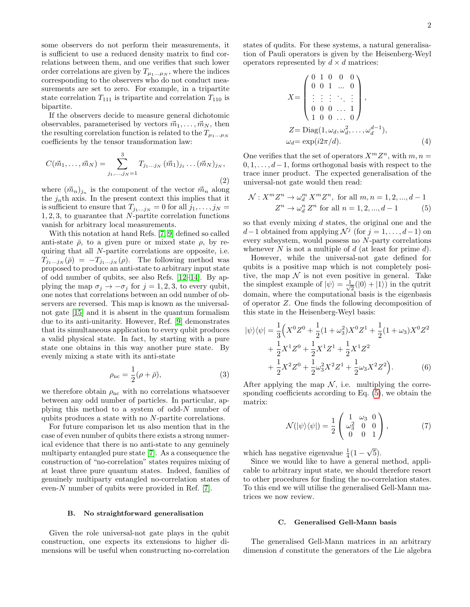some observers do not perform their measurements, it is sufficient to use a reduced density matrix to find correlations between them, and one verifies that such lower order correlations are given by  $T_{\mu_1...\mu_N}$ , where the indices corresponding to the observers who do not conduct measurements are set to zero. For example, in a tripartite state correlation  $T_{111}$  is tripartite and correlation  $T_{110}$  is bipartite.

If the observers decide to measure general dichotomic observables, parameterised by vectors  $\vec{m}_1, \ldots, \vec{m}_N$ , then the resulting correlation function is related to the  $T_{\mu_1...\mu_N}$ coefficients by the tensor transformation law:

$$
C(\vec{m}_1, \dots, \vec{m}_N) = \sum_{j_1, \dots, j_N=1}^{3} T_{j_1 \dots j_N} (\vec{m}_1)_{j_1} \dots (\vec{m}_N)_{j_N},
$$
\n(2)

where  $({\vec{m}}_n)_{j_n}$  is the component of the vector  ${\vec{m}}_n$  along the  $j_n$ th axis. In the present context this implies that it is sufficient to ensure that  $T_{j_1...j_N} = 0$  for all  $j_1, \ldots, j_N =$ 1, 2, 3, to guarantee that N-partite correlation functions vanish for arbitrary local measurements.

With this notation at hand Refs. [\[7,](#page-5-7) [9\]](#page-5-4) defined so called anti-state  $\bar{\rho}$ , to a given pure or mixed state  $\rho$ , by requiring that all N-partite correlations are opposite, i.e.  $T_{j_1...j_N}(\bar{\rho}) = -T_{j_1...j_N}(\rho)$ . The following method was proposed to produce an anti-state to arbitrary input state of odd number of qubits, see also Refs. [\[12–](#page-5-8)[14\]](#page-5-9). By applying the map  $\sigma_j \to -\sigma_j$  for  $j = 1, 2, 3$ , to every qubit, one notes that correlations between an odd number of observers are reversed. This map is known as the universalnot gate [\[15\]](#page-5-10) and it is absent in the quantum formalism due to its anti-unitarity. However, Ref. [\[9\]](#page-5-4) demonstrates that its simultaneous application to every qubit produces a valid physical state. In fact, by starting with a pure state one obtains in this way another pure state. By evenly mixing a state with its anti-state

$$
\rho_{\rm nc} = \frac{1}{2} (\rho + \bar{\rho}), \qquad (3)
$$

we therefore obtain  $\rho_{\text{nc}}$  with no correlations whatsoever between any odd number of particles. In particular, applying this method to a system of odd- $N$  number of qubits produces a state with no N-partite correlations.

For future comparison let us also mention that in the case of even number of qubits there exists a strong numerical evidence that there is no anti-state to any genuinely multiparty entangled pure state [\[7\]](#page-5-7). As a consequence the construction of "no-correlation" states requires mixing of at least three pure quantum states. Indeed, families of genuinely multiparty entangled no-correlation states of even-N number of qubits were provided in Ref. [\[7\]](#page-5-7).

## B. No straightforward generalisation

Given the role universal-not gate plays in the qubit construction, one expects its extensions to higher dimensions will be useful when constructing no-correlation states of qudits. For these systems, a natural generalisation of Pauli operators is given by the Heisenberg-Weyl operators represented by  $d \times d$  matrices:

$$
X = \begin{pmatrix} 0 & 1 & 0 & 0 & 0 \\ 0 & 0 & 1 & \dots & 0 \\ \vdots & \vdots & \vdots & \ddots & \vdots \\ 0 & 0 & 0 & \dots & 1 \\ 1 & 0 & 0 & \dots & 0 \end{pmatrix},
$$
  
\n
$$
Z = \text{Diag}(1, \omega_d, \omega_d^2, \dots, \omega_d^{d-1}),
$$
  
\n
$$
\omega_d = \exp(i2\pi/d).
$$
 (4)

One verifies that the set of operators  $X^m Z^n$ , with  $m, n =$  $0, 1, \ldots, d-1$ , forms orthogonal basis with respect to the trace inner product. The expected generalisation of the universal-not gate would then read:

<span id="page-1-0"></span>
$$
\mathcal{N}: X^m Z^n \to \omega_d^m X^m Z^n, \text{ for all } m, n = 1, 2, ..., d - 1
$$
  

$$
Z^n \to \omega_d^n Z^n \text{ for all } n = 1, 2, ..., d - 1
$$
 (5)

so that evenly mixing  $d$  states, the original one and the  $d-1$  obtained from applying  $\mathcal{N}^j$  (for  $j = 1, \ldots, d-1$ ) on every subsystem, would possess no N-party correlations whenever  $N$  is not a multiple of  $d$  (at least for prime  $d$ ).

However, while the universal-not gate defined for qubits is a positive map which is not completely positive, the map  $\mathcal N$  is not even positive in general. Take the simplest example of  $|\psi\rangle = \frac{1}{\sqrt{2}}$  $\frac{1}{2}(|0\rangle + |1\rangle)$  in the qutrit domain, where the computational basis is the eigenbasis of operator Z. One finds the following decomposition of this state in the Heisenberg-Weyl basis:

$$
|\psi\rangle\langle\psi| = \frac{1}{3}\Big(X^0 Z^0 + \frac{1}{2}(1 + \omega_3^2)X^0 Z^1 + \frac{1}{2}(1 + \omega_3)X^0 Z^2
$$
  
+ 
$$
\frac{1}{2}X^1 Z^0 + \frac{1}{2}X^1 Z^1 + \frac{1}{2}X^1 Z^2
$$
  
+ 
$$
\frac{1}{2}X^2 Z^0 + \frac{1}{2}\omega_3^2 X^2 Z^1 + \frac{1}{2}\omega_3 X^2 Z^2\Big).
$$
 (6)

After applying the map  $\mathcal N$ , i.e. multiplying the corresponding coefficients according to Eq. [\(5\)](#page-1-0), we obtain the matrix:

$$
\mathcal{N}(|\psi\rangle\langle\psi|) = \frac{1}{2} \begin{pmatrix} 1 & \omega_3 & 0 \\ \omega_3^2 & 0 & 0 \\ 0 & 0 & 1 \end{pmatrix}, \tag{7}
$$

which has negative eigenvalue  $\frac{1}{4}(1 -$ √ 5).

Since we would like to have a general method, applicable to arbitrary input state, we should therefore resort to other procedures for finding the no-correlation states. To this end we will utilise the generalised Gell-Mann matrices we now review.

## C. Generalised Gell-Mann basis

The generalised Gell-Mann matrices in an arbitrary dimension d constitute the generators of the Lie algebra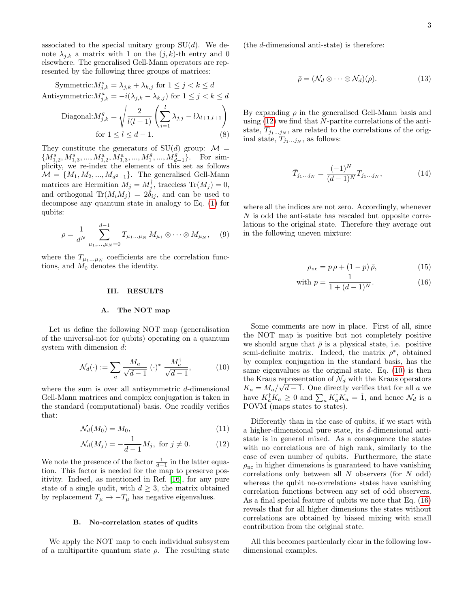associated to the special unitary group  $SU(d)$ . We denote  $\lambda_{j,k}$  a matrix with 1 on the  $(j,k)$ -th entry and 0 elsewhere. The generalised Gell-Mann operators are represented by the following three groups of matrices:

Symmetric: 
$$
M_{j,k}^s = \lambda_{j,k} + \lambda_{k,j}
$$
 for  $1 \le j < k \le d$   
\nAntisymmetric:  $M_{j,k}^a = -i(\lambda_{j,k} - \lambda_{k,j})$  for  $1 \le j < k \le d$   
\nDiagonal:  $M_{j,k}^g = \sqrt{\frac{2}{l(l+1)}} \left( \sum_{i=1}^l \lambda_{j,j} - l\lambda_{l+1,l+1} \right)$   
\nfor  $1 \le l \le d-1$ . (8)

They constitute the generators of  $SU(d)$  group:  $\mathcal{M} =$  $\{M_{1,2}^s, M_{1,3}^s, ..., M_{1,2}^a, M_{1,3}^a, ..., M_{1}^g, ..., M_{d-1}^g\}$ . For simplicity, we re-index the elements of this set as follows  $\mathcal{M} = \{M_1, M_2, ..., M_{d^2-1}\}.$  The generalised Gell-Mann matrices are Hermitian  $M_j = M_j^{\dagger}$ , traceless  $\text{Tr}(M_j) = 0$ , and orthogonal  $\text{Tr}(M_iM_j) = 2\delta_{ij}$ , and can be used to decompose any quantum state in analogy to Eq. [\(1\)](#page-0-0) for qubits:

$$
\rho = \frac{1}{d^N} \sum_{\mu_1, ..., \mu_N = 0}^{d-1} T_{\mu_1 ... \mu_N} M_{\mu_1} \otimes \cdots \otimes M_{\mu_N}, \quad (9)
$$

where the  $T_{\mu_1...\mu_N}$  coefficients are the correlation functions, and  $M_0$  denotes the identity.

### <span id="page-2-0"></span>III. RESULTS

#### A. The NOT map

Let us define the following NOT map (generalisation of the universal-not for qubits) operating on a quantum system with dimension d:

<span id="page-2-2"></span>
$$
\mathcal{N}_d(\cdot) := \sum_a \frac{M_a}{\sqrt{d-1}} (\cdot)^* \frac{M_a^{\dagger}}{\sqrt{d-1}},\tag{10}
$$

where the sum is over all antisymmetric d-dimensional Gell-Mann matrices and complex conjugation is taken in the standard (computational) basis. One readily verifies that:

<span id="page-2-1"></span>
$$
\mathcal{N}_d(M_0) = M_0,\tag{11}
$$

$$
\mathcal{N}_d(M_j) = -\frac{1}{d-1} M_j, \text{ for } j \neq 0.
$$
 (12)

We note the presence of the factor  $\frac{1}{d-1}$  in the latter equation. This factor is needed for the map to preserve positivity. Indeed, as mentioned in Ref. [\[16\]](#page-5-11), for any pure state of a single qudit, with  $d \geq 3$ , the matrix obtained by replacement  $T_{\mu} \rightarrow -T_{\mu}$  has negative eigenvalues.

## B. No-correlation states of qudits

We apply the NOT map to each individual subsystem of a multipartite quantum state  $\rho$ . The resulting state (the d-dimensional anti-state) is therefore:

$$
\bar{\rho} = (\mathcal{N}_d \otimes \cdots \otimes \mathcal{N}_d)(\rho). \tag{13}
$$

By expanding  $\rho$  in the generalised Gell-Mann basis and using  $(12)$  we find that N-partite correlations of the antistate,  $\overline{T}_{j_1...j_N}$ , are related to the correlations of the original state,  $T_{j_1...j_N}$ , as follows:

$$
\bar{T}_{j_1...j_N} = \frac{(-1)^N}{(d-1)^N} T_{j_1...j_N},\tag{14}
$$

where all the indices are not zero. Accordingly, whenever N is odd the anti-state has rescaled but opposite correlations to the original state. Therefore they average out in the following uneven mixture:

<span id="page-2-3"></span>
$$
\rho_{\rm nc} = p \,\rho + (1 - p) \,\bar{\rho},\tag{15}
$$

with 
$$
p = \frac{1}{1 + (d-1)^N}
$$
. (16)

Some comments are now in place. First of all, since the NOT map is positive but not completely positive we should argue that  $\bar{\rho}$  is a physical state, i.e. positive semi-definite matrix. Indeed, the matrix  $\rho^*$ , obtained by complex conjugation in the standard basis, has the same eigenvalues as the original state. Eq. [\(10\)](#page-2-2) is then the Kraus representation of  $\mathcal{N}_d$  with the Kraus operators  $K_a = M_a / \sqrt{d-1}$ . One directly verifies that for all a we have  $K_a^{\dagger} K_a \geq 0$  and  $\sum_a K_a^{\dagger} K_a = \hat{1}$ , and hence  $\mathcal{N}_d$  is a POVM (maps states to states).

Differently than in the case of qubits, if we start with a higher-dimensional pure state, its d-dimensional antistate is in general mixed. As a consequence the states with no correlations are of high rank, similarly to the case of even number of qubits. Furthermore, the state  $\rho_{\text{nc}}$  in higher dimensions is guaranteed to have vanishing correlations only between all  $N$  observers (for  $N$  odd) whereas the qubit no-correlations states have vanishing correlation functions between any set of odd observers. As a final special feature of qubits we note that Eq. [\(16\)](#page-2-3) reveals that for all higher dimensions the states without correlations are obtained by biased mixing with small contribution from the original state.

All this becomes particularly clear in the following lowdimensional examples.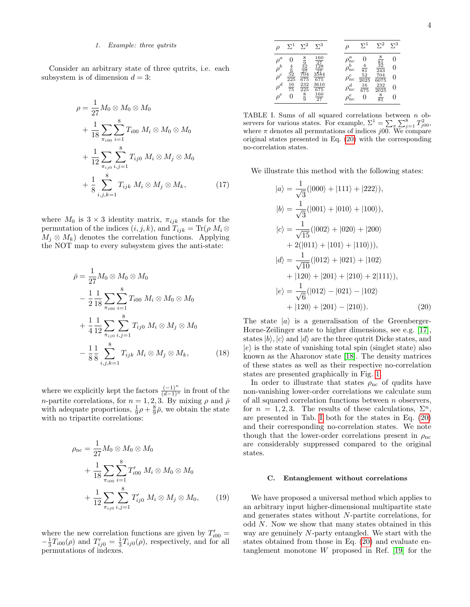### 1. Example: three qutrits

Consider an arbitrary state of three qutrits, i.e. each subsystem is of dimension  $d = 3$ :

$$
\rho = \frac{1}{27} M_0 \otimes M_0 \otimes M_0
$$
  
+ 
$$
\frac{1}{18} \sum_{\pi_{i00}} \sum_{i=1}^{8} T_{i00} M_i \otimes M_0 \otimes M_0
$$
  
+ 
$$
\frac{1}{12} \sum_{\pi_{ij0}} \sum_{i,j=1}^{8} T_{ij0} M_i \otimes M_j \otimes M_0
$$
  
+ 
$$
\frac{1}{8} \sum_{i,j,k=1}^{8} T_{ijk} M_i \otimes M_j \otimes M_k,
$$
 (17)

where  $M_0$  is  $3 \times 3$  identity matrix,  $\pi_{ijk}$  stands for the permutation of the indices  $(i, j, k)$ , and  $T_{ijk} = \text{Tr}(\rho M_i \otimes$  $M_i \otimes M_k$ ) denotes the correlation functions. Applying the NOT map to every subsystem gives the anti-state:

$$
\bar{\rho} = \frac{1}{27} M_0 \otimes M_0 \otimes M_0
$$
  
\n
$$
- \frac{1}{2} \frac{1}{18} \sum_{\pi_{i00}} \sum_{i=1}^{8} T_{i00} M_i \otimes M_0 \otimes M_0
$$
  
\n
$$
+ \frac{1}{4} \frac{1}{12} \sum_{\pi_{ij0}} \sum_{i,j=1}^{8} T_{ij0} M_i \otimes M_j \otimes M_0
$$
  
\n
$$
- \frac{1}{8} \frac{1}{8} \sum_{i,j,k=1}^{8} T_{ijk} M_i \otimes M_j \otimes M_k,
$$
 (18)

where we explicitly kept the factors  $\frac{(-1)^n}{(d-1)^n}$  in front of the *n*-partite correlations, for  $n = 1, 2, 3$ . By mixing  $\rho$  and  $\bar{\rho}$ with adequate proportions,  $\frac{1}{9}\rho + \frac{8}{9}\overline{\rho}$ , we obtain the state with no tripartite correlations:

<span id="page-3-2"></span>
$$
\rho_{\rm nc} = \frac{1}{27} M_0 \otimes M_0 \otimes M_0
$$
  
+ 
$$
\frac{1}{18} \sum_{\pi_{i00}} \sum_{i=1}^{8} T'_{i00} M_i \otimes M_0 \otimes M_0
$$
  
+ 
$$
\frac{1}{12} \sum_{\pi_{ij0}} \sum_{i,j=1}^{8} T'_{ij0} M_i \otimes M_j \otimes M_0,
$$
 (19)

where the new correlation functions are given by  $T'_{i00} =$  $-\frac{1}{3}T_{i00}(\rho)$  and  $T'_{ij0} = \frac{1}{3}T_{ij0}(\rho)$ , respectively, and for all permutations of indexes.

|                       | $\Sigma^1$                           | $\Sigma^2$                                                            | $\Sigma^3$        |                   | $\Sigma^1$                             | $\Sigma^2$                              | $\Sigma^3$ |
|-----------------------|--------------------------------------|-----------------------------------------------------------------------|-------------------|-------------------|----------------------------------------|-----------------------------------------|------------|
| $\rho^a$              | 0                                    | $\begin{array}{c}\n 8 \\ \frac{32}{27} \\ \hline\n 704\n \end{array}$ | $\frac{160}{27}$  | $\rho_{\rm nc}^a$ |                                        | $\frac{8}{81}$<br>$\frac{32}{243}$      |            |
| $\rho^b \over \rho^c$ |                                      |                                                                       | $\frac{27}{3584}$ | $\rho_{\rm nc}^b$ |                                        |                                         | 0          |
|                       | $\frac{\frac{4}{9}}{\frac{52}{225}}$ | 675                                                                   | 675               | $\rho_{\rm nc}^c$ | $\frac{\frac{4}{81}}{\frac{52}{2025}}$ | $\frac{704}{6075}$                      | 0          |
| $\rho^d$              | $\frac{16}{75}$                      | $\frac{232}{225}$                                                     | 3616<br>675       | $\rho_{\rm nc}^d$ | $\frac{16}{675}$                       | 232                                     | 0          |
| $\rho^e$              | 0                                    | $\frac{8}{9}$                                                         | $\frac{160}{27}$  | $\rho_{\rm nc}^e$ | 0                                      | $\frac{\overline{2025}}{\overline{81}}$ |            |

<span id="page-3-1"></span>TABLE I. Sums of all squared correlations between  $n$  observers for various states. For example,  $\Sigma^1 = \sum_{\pi} \sum_{j=1}^8 T_{j00}^2$ , where  $\pi$  denotes all permutations of indices j00. We compare original states presented in Eq. [\(20\)](#page-3-0) with the corresponding no-correlation states.

We illustrate this method with the following states:

<span id="page-3-0"></span>
$$
|a\rangle = \frac{1}{\sqrt{3}}(|000\rangle + |111\rangle + |222\rangle),
$$
  
\n
$$
|b\rangle = \frac{1}{\sqrt{3}}(|001\rangle + |010\rangle + |100\rangle),
$$
  
\n
$$
|c\rangle = \frac{1}{\sqrt{15}}(|002\rangle + |020\rangle + |200\rangle + 2(|011\rangle + |101\rangle + |110\rangle)),
$$
  
\n
$$
|d\rangle = \frac{1}{\sqrt{10}}(|012\rangle + |021\rangle + |102\rangle + |120\rangle + |120\rangle + |201\rangle + |210\rangle + |210\rangle - |021\rangle - |102\rangle + |120\rangle + |201\rangle - |210\rangle).
$$
 (20)

The state  $|a\rangle$  is a generalisation of the Greenberger-Horne-Zeilinger state to higher dimensions, see e.g. [\[17\]](#page-5-12), states  $|b\rangle$ ,  $|c\rangle$  and  $|d\rangle$  are the three qutrit Dicke states, and  $|e\rangle$  is the state of vanishing total spin (singlet state) also known as the Aharonov state [\[18\]](#page-5-13). The density matrices of these states as well as their respective no-correlation states are presented graphically in Fig. [1.](#page-4-1)

In order to illustrate that states  $\rho_{\text{nc}}$  of qudits have non-vanishing lower-order correlations we calculate sum of all squared correlation functions between  $n$  observers, for  $n = 1, 2, 3$ . The results of these calculations,  $\Sigma^n$ , are presented in Tab. [I](#page-3-1) both for the states in Eq. [\(20\)](#page-3-0) and their corresponding no-correlation states. We note though that the lower-order correlations present in  $\rho_{\text{nc}}$ are considerably suppressed compared to the original states.

#### C. Entanglement without correlations

We have proposed a universal method which applies to an arbitrary input higher-dimensional multipartite state and generates states without N-partite correlations, for odd N. Now we show that many states obtained in this way are genuinely N-party entangled. We start with the states obtained from those in Eq. [\(20\)](#page-3-0) and evaluate entanglement monotone W proposed in Ref. [\[19\]](#page-5-14) for the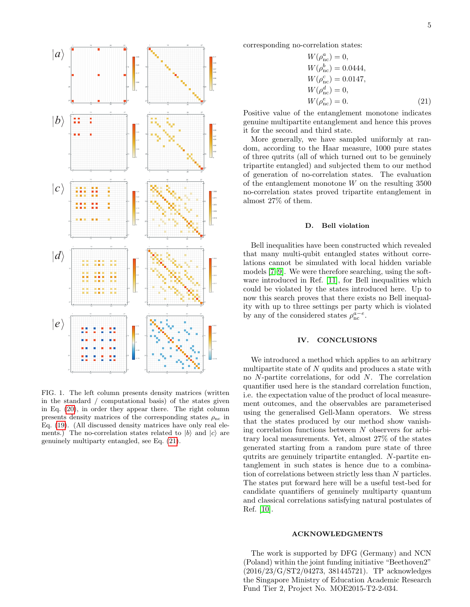

<span id="page-4-1"></span>FIG. 1. The left column presents density matrices (written in the standard / computational basis) of the states given in Eq. [\(20\)](#page-3-0), in order they appear there. The right column presents density matrices of the corresponding states  $\rho_{\text{nc}}$  in Eq. [\(19\)](#page-3-2). (All discussed density matrices have only real elements.) The no-correlation states related to  $|b\rangle$  and  $|c\rangle$  are genuinely multiparty entangled, see Eq. [\(21\)](#page-4-2).

corresponding no-correlation states:

<span id="page-4-2"></span>
$$
W(\rho_{\rm nc}^a) = 0,
$$
  
\n
$$
W(\rho_{\rm nc}^b) = 0.0444,
$$
  
\n
$$
W(\rho_{\rm nc}^c) = 0.0147,
$$
  
\n
$$
W(\rho_{\rm nc}^d) = 0,
$$
  
\n
$$
W(\rho_{\rm nc}^e) = 0.
$$
\n(21)

Positive value of the entanglement monotone indicates genuine multipartite entanglement and hence this proves it for the second and third state.

More generally, we have sampled uniformly at random, according to the Haar measure, 1000 pure states of three qutrits (all of which turned out to be genuinely tripartite entangled) and subjected them to our method of generation of no-correlation states. The evaluation of the entanglement monotone  $W$  on the resulting 3500 no-correlation states proved tripartite entanglement in almost 27% of them.

#### D. Bell violation

Bell inequalities have been constructed which revealed that many multi-qubit entangled states without correlations cannot be simulated with local hidden variable models [\[7](#page-5-7)[–9\]](#page-5-4). We were therefore searching, using the software introduced in Ref. [\[11\]](#page-5-6), for Bell inequalities which could be violated by the states introduced here. Up to now this search proves that there exists no Bell inequality with up to three settings per party which is violated by any of the considered states  $\rho_{\rm nc}^{a-e}$ .

## <span id="page-4-0"></span>IV. CONCLUSIONS

We introduced a method which applies to an arbitrary multipartite state of  $N$  qudits and produces a state with no N-partite correlations, for odd N. The correlation quantifier used here is the standard correlation function, i.e. the expectation value of the product of local measurement outcomes, and the observables are parameterised using the generalised Gell-Mann operators. We stress that the states produced by our method show vanishing correlation functions between N observers for arbitrary local measurements. Yet, almost 27% of the states generated starting from a random pure state of three qutrits are genuinely tripartite entangled. N-partite entanglement in such states is hence due to a combination of correlations between strictly less than N particles. The states put forward here will be a useful test-bed for candidate quantifiers of genuinely multiparty quantum and classical correlations satisfying natural postulates of Ref. [\[10\]](#page-5-5).

#### ACKNOWLEDGMENTS

The work is supported by DFG (Germany) and NCN (Poland) within the joint funding initiative "Beethoven2" (2016/23/G/ST2/04273, 381445721). TP acknowledges the Singapore Ministry of Education Academic Research Fund Tier 2, Project No. MOE2015-T2-2-034.